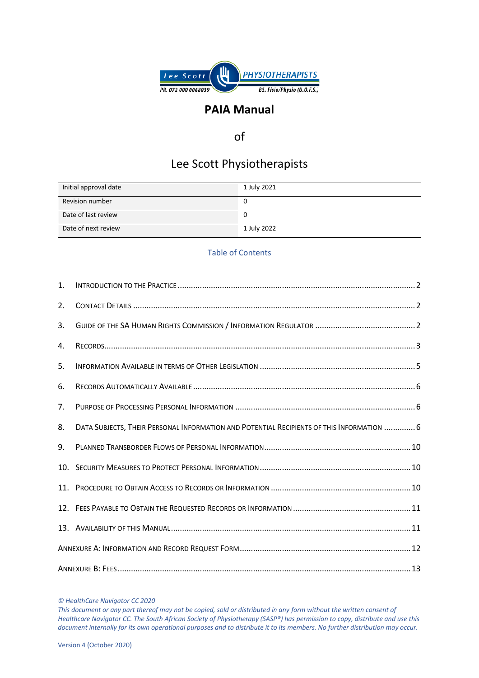

## **PAIA Manual**

## of

# Lee Scott Physiotherapists

| Initial approval date  | 1 July 2021 |
|------------------------|-------------|
| <b>Revision number</b> | U           |
| Date of last review    | U           |
| Date of next review    | 1 July 2022 |

## Table of Contents

| 1. |                                                                                           |  |
|----|-------------------------------------------------------------------------------------------|--|
| 2. |                                                                                           |  |
| 3. |                                                                                           |  |
| 4. |                                                                                           |  |
| 5. |                                                                                           |  |
| 6. |                                                                                           |  |
| 7. |                                                                                           |  |
| 8. | DATA SUBJECTS, THEIR PERSONAL INFORMATION AND POTENTIAL RECIPIENTS OF THIS INFORMATION  6 |  |
| 9. |                                                                                           |  |
|    |                                                                                           |  |
|    |                                                                                           |  |
|    |                                                                                           |  |
|    |                                                                                           |  |
|    |                                                                                           |  |
|    |                                                                                           |  |

#### *© HealthCare Navigator CC 2020*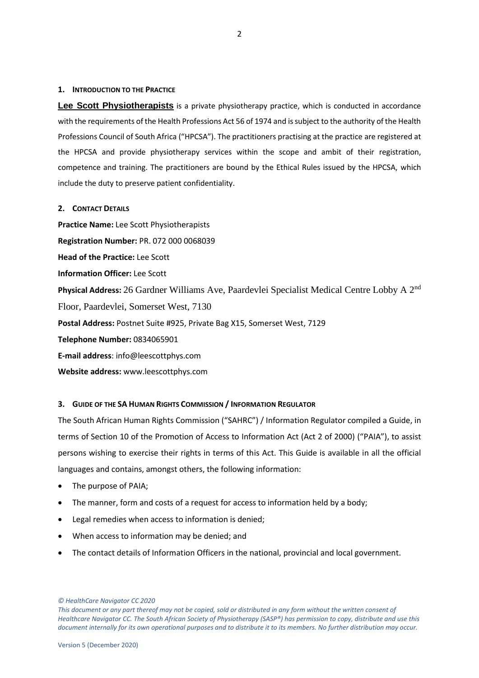## <span id="page-1-0"></span>**1. INTRODUCTION TO THE PRACTICE**

**Lee Scott Physiotherapists** is a private physiotherapy practice, which is conducted in accordance with the requirements of the Health Professions Act 56 of 1974 and is subject to the authority of the Health Professions Council of South Africa ("HPCSA"). The practitioners practising at the practice are registered at the HPCSA and provide physiotherapy services within the scope and ambit of their registration, competence and training. The practitioners are bound by the Ethical Rules issued by the HPCSA, which include the duty to preserve patient confidentiality.

## <span id="page-1-1"></span>**2. CONTACT DETAILS**

**Practice Name:** Lee Scott Physiotherapists **Registration Number:** PR. 072 000 0068039 **Head of the Practice:** Lee Scott **Information Officer:** Lee Scott **Physical Address:** 26 Gardner Williams Ave, Paardevlei Specialist Medical Centre Lobby A 2nd Floor, Paardevlei, Somerset West, 7130 **Postal Address:** Postnet Suite #925, Private Bag X15, Somerset West, 7129 **Telephone Number:** 0834065901 **E-mail address**: info@leescottphys.com **Website address:** www.leescottphys.com

## <span id="page-1-2"></span>**3. GUIDE OF THE SA HUMAN RIGHTS COMMISSION / INFORMATION REGULATOR**

The South African Human Rights Commission ("SAHRC") / Information Regulator compiled a Guide, in terms of Section 10 of the Promotion of Access to Information Act (Act 2 of 2000) ("PAIA"), to assist persons wishing to exercise their rights in terms of this Act. This Guide is available in all the official languages and contains, amongst others, the following information:

- The purpose of PAIA;
- The manner, form and costs of a request for access to information held by a body;
- Legal remedies when access to information is denied;
- When access to information may be denied; and
- The contact details of Information Officers in the national, provincial and local government.

*© HealthCare Navigator CC 2020* 

*This document or any part thereof may not be copied, sold or distributed in any form without the written consent of Healthcare Navigator CC. The South African Society of Physiotherapy (SASP®) has permission to copy, distribute and use this document internally for its own operational purposes and to distribute it to its members. No further distribution may occur.*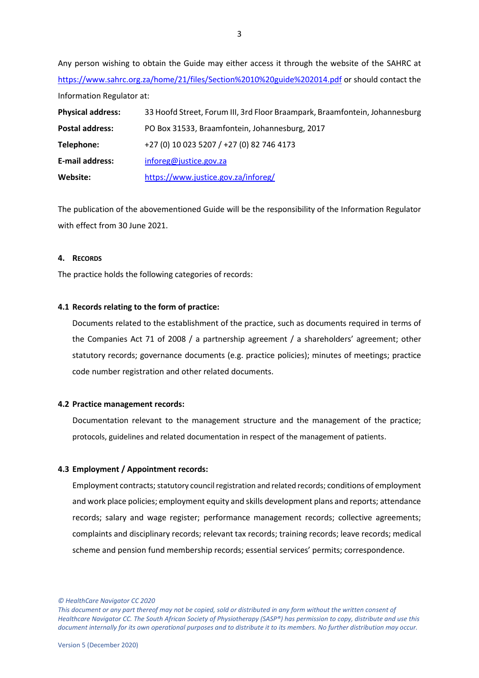Any person wishing to obtain the Guide may either access it through the website of the SAHRC at <https://www.sahrc.org.za/home/21/files/Section%2010%20guide%202014.pdf> or should contact the Information Regulator at:

| <b>Physical address:</b> | 33 Hoofd Street, Forum III, 3rd Floor Braampark, Braamfontein, Johannesburg |
|--------------------------|-----------------------------------------------------------------------------|
| Postal address:          | PO Box 31533, Braamfontein, Johannesburg, 2017                              |
| Telephone:               | +27 (0) 10 023 5207 / +27 (0) 82 746 4173                                   |
| <b>E-mail address:</b>   | inforeg@justice.gov.za                                                      |
| Website:                 | https://www.justice.gov.za/inforeg/                                         |

The publication of the abovementioned Guide will be the responsibility of the Information Regulator with effect from 30 June 2021.

## <span id="page-2-0"></span>**4. RECORDS**

The practice holds the following categories of records:

## **4.1 Records relating to the form of practice:**

Documents related to the establishment of the practice, such as documents required in terms of the Companies Act 71 of 2008 / a partnership agreement / a shareholders' agreement; other statutory records; governance documents (e.g. practice policies); minutes of meetings; practice code number registration and other related documents.

## **4.2 Practice management records:**

Documentation relevant to the management structure and the management of the practice; protocols, guidelines and related documentation in respect of the management of patients.

## **4.3 Employment / Appointment records:**

Employment contracts; statutory council registration and related records; conditions of employment and work place policies; employment equity and skills development plans and reports; attendance records; salary and wage register; performance management records; collective agreements; complaints and disciplinary records; relevant tax records; training records; leave records; medical scheme and pension fund membership records; essential services' permits; correspondence.

*© HealthCare Navigator CC 2020*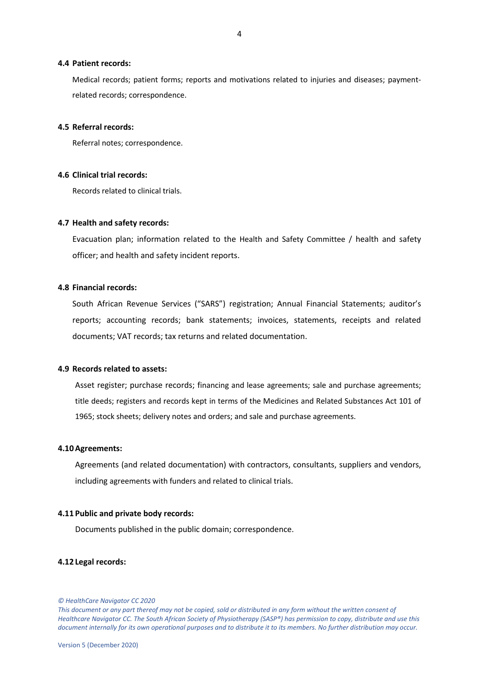#### **4.4 Patient records:**

Medical records; patient forms; reports and motivations related to injuries and diseases; paymentrelated records; correspondence.

#### **4.5 Referral records:**

Referral notes; correspondence.

## **4.6 Clinical trial records:**

Records related to clinical trials.

## **4.7 Health and safety records:**

Evacuation plan; information related to the Health and Safety Committee / health and safety officer; and health and safety incident reports.

#### **4.8 Financial records:**

South African Revenue Services ("SARS") registration; Annual Financial Statements; auditor's reports; accounting records; bank statements; invoices, statements, receipts and related documents; VAT records; tax returns and related documentation.

## **4.9 Records related to assets:**

Asset register; purchase records; financing and lease agreements; sale and purchase agreements; title deeds; registers and records kept in terms of the Medicines and Related Substances Act 101 of 1965; stock sheets; delivery notes and orders; and sale and purchase agreements.

## **4.10Agreements:**

Agreements (and related documentation) with contractors, consultants, suppliers and vendors, including agreements with funders and related to clinical trials.

## **4.11 Public and private body records:**

Documents published in the public domain; correspondence.

#### **4.12 Legal records:**

*<sup>©</sup> HealthCare Navigator CC 2020*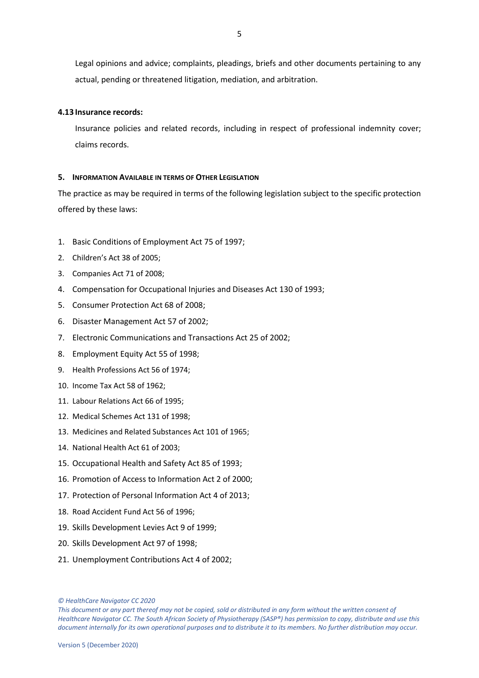Legal opinions and advice; complaints, pleadings, briefs and other documents pertaining to any actual, pending or threatened litigation, mediation, and arbitration.

## **4.13 Insurance records:**

Insurance policies and related records, including in respect of professional indemnity cover; claims records.

## <span id="page-4-0"></span>**5. INFORMATION AVAILABLE IN TERMS OF OTHER LEGISLATION**

The practice as may be required in terms of the following legislation subject to the specific protection offered by these laws:

- 1. Basic Conditions of Employment Act 75 of 1997;
- 2. Children's Act 38 of 2005;
- 3. Companies Act 71 of 2008;
- 4. Compensation for Occupational Injuries and Diseases Act 130 of 1993;
- 5. Consumer Protection Act 68 of 2008;
- 6. Disaster Management Act 57 of 2002;
- 7. Electronic Communications and Transactions Act 25 of 2002;
- 8. Employment Equity Act 55 of 1998;
- 9. Health Professions Act 56 of 1974;
- 10. Income Tax Act 58 of 1962;
- 11. Labour Relations Act 66 of 1995;
- 12. Medical Schemes Act 131 of 1998;
- 13. Medicines and Related Substances Act 101 of 1965;
- 14. National Health Act 61 of 2003;
- 15. Occupational Health and Safety Act 85 of 1993;
- 16. Promotion of Access to Information Act 2 of 2000;
- 17. Protection of Personal Information Act 4 of 2013;
- 18. Road Accident Fund Act 56 of 1996;
- 19. Skills Development Levies Act 9 of 1999;
- 20. Skills Development Act 97 of 1998;
- 21. Unemployment Contributions Act 4 of 2002;

*<sup>©</sup> HealthCare Navigator CC 2020* 

*This document or any part thereof may not be copied, sold or distributed in any form without the written consent of Healthcare Navigator CC. The South African Society of Physiotherapy (SASP®) has permission to copy, distribute and use this document internally for its own operational purposes and to distribute it to its members. No further distribution may occur.*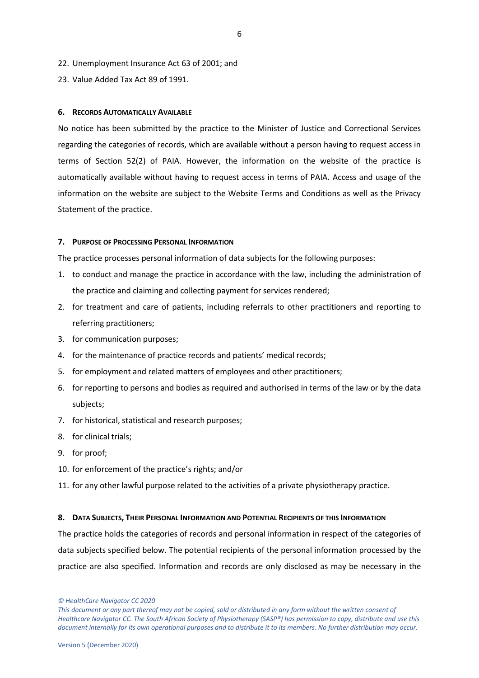- 22. Unemployment Insurance Act 63 of 2001; and
- 23. Value Added Tax Act 89 of 1991.

## <span id="page-5-0"></span>**6. RECORDS AUTOMATICALLY AVAILABLE**

No notice has been submitted by the practice to the Minister of Justice and Correctional Services regarding the categories of records, which are available without a person having to request access in terms of Section 52(2) of PAIA. However, the information on the website of the practice is automatically available without having to request access in terms of PAIA. Access and usage of the information on the website are subject to the Website Terms and Conditions as well as the Privacy Statement of the practice.

## <span id="page-5-1"></span>**7. PURPOSE OF PROCESSING PERSONAL INFORMATION**

The practice processes personal information of data subjects for the following purposes:

- 1. to conduct and manage the practice in accordance with the law, including the administration of the practice and claiming and collecting payment for services rendered;
- 2. for treatment and care of patients, including referrals to other practitioners and reporting to referring practitioners;
- 3. for communication purposes;
- 4. for the maintenance of practice records and patients' medical records;
- 5. for employment and related matters of employees and other practitioners;
- 6. for reporting to persons and bodies as required and authorised in terms of the law or by the data subjects;
- 7. for historical, statistical and research purposes;
- 8. for clinical trials;
- 9. for proof;
- 10. for enforcement of the practice's rights; and/or
- 11. for any other lawful purpose related to the activities of a private physiotherapy practice.

## <span id="page-5-2"></span>**8. DATA SUBJECTS, THEIR PERSONAL INFORMATION AND POTENTIAL RECIPIENTS OF THIS INFORMATION**

The practice holds the categories of records and personal information in respect of the categories of data subjects specified below. The potential recipients of the personal information processed by the practice are also specified. Information and records are only disclosed as may be necessary in the

*© HealthCare Navigator CC 2020* 

*This document or any part thereof may not be copied, sold or distributed in any form without the written consent of Healthcare Navigator CC. The South African Society of Physiotherapy (SASP®) has permission to copy, distribute and use this document internally for its own operational purposes and to distribute it to its members. No further distribution may occur.*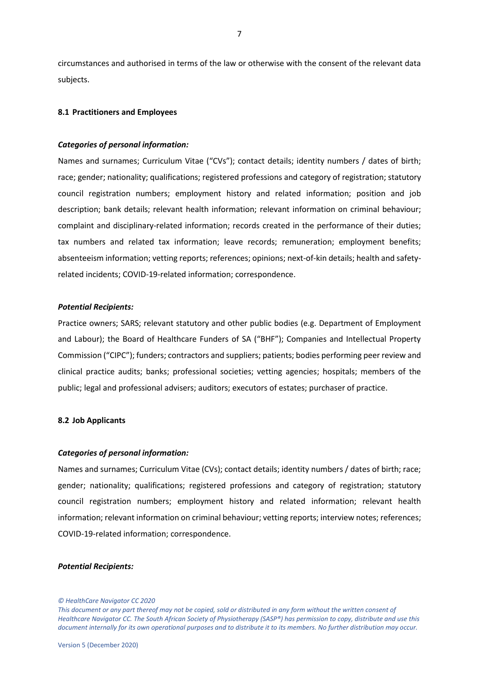circumstances and authorised in terms of the law or otherwise with the consent of the relevant data subjects.

## **8.1 Practitioners and Employees**

#### *Categories of personal information:*

Names and surnames; Curriculum Vitae ("CVs"); contact details; identity numbers / dates of birth; race; gender; nationality; qualifications; registered professions and category of registration; statutory council registration numbers; employment history and related information; position and job description; bank details; relevant health information; relevant information on criminal behaviour; complaint and disciplinary-related information; records created in the performance of their duties; tax numbers and related tax information; leave records; remuneration; employment benefits; absenteeism information; vetting reports; references; opinions; next-of-kin details; health and safetyrelated incidents; COVID-19-related information; correspondence.

#### *Potential Recipients:*

Practice owners; SARS; relevant statutory and other public bodies (e.g. Department of Employment and Labour); the Board of Healthcare Funders of SA ("BHF"); Companies and Intellectual Property Commission ("CIPC"); funders; contractors and suppliers; patients; bodies performing peer review and clinical practice audits; banks; professional societies; vetting agencies; hospitals; members of the public; legal and professional advisers; auditors; executors of estates; purchaser of practice.

## **8.2 Job Applicants**

#### *Categories of personal information:*

Names and surnames; Curriculum Vitae (CVs); contact details; identity numbers / dates of birth; race; gender; nationality; qualifications; registered professions and category of registration; statutory council registration numbers; employment history and related information; relevant health information; relevant information on criminal behaviour; vetting reports; interview notes; references; COVID-19-related information; correspondence.

#### *Potential Recipients:*

*<sup>©</sup> HealthCare Navigator CC 2020*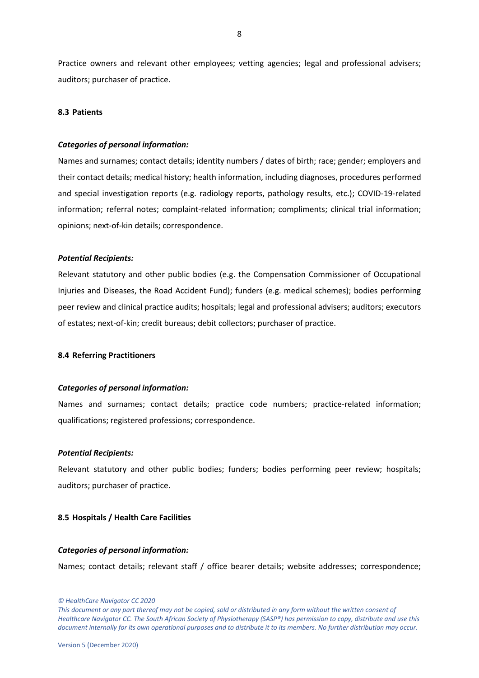Practice owners and relevant other employees; vetting agencies; legal and professional advisers; auditors; purchaser of practice.

## **8.3 Patients**

#### *Categories of personal information:*

Names and surnames; contact details; identity numbers / dates of birth; race; gender; employers and their contact details; medical history; health information, including diagnoses, procedures performed and special investigation reports (e.g. radiology reports, pathology results, etc.); COVID-19-related information; referral notes; complaint-related information; compliments; clinical trial information; opinions; next-of-kin details; correspondence.

#### *Potential Recipients:*

Relevant statutory and other public bodies (e.g. the Compensation Commissioner of Occupational Injuries and Diseases, the Road Accident Fund); funders (e.g. medical schemes); bodies performing peer review and clinical practice audits; hospitals; legal and professional advisers; auditors; executors of estates; next-of-kin; credit bureaus; debit collectors; purchaser of practice.

## **8.4 Referring Practitioners**

#### *Categories of personal information:*

Names and surnames; contact details; practice code numbers; practice-related information; qualifications; registered professions; correspondence.

#### *Potential Recipients:*

Relevant statutory and other public bodies; funders; bodies performing peer review; hospitals; auditors; purchaser of practice.

## **8.5 Hospitals / Health Care Facilities**

#### *Categories of personal information:*

Names; contact details; relevant staff / office bearer details; website addresses; correspondence;

*© HealthCare Navigator CC 2020*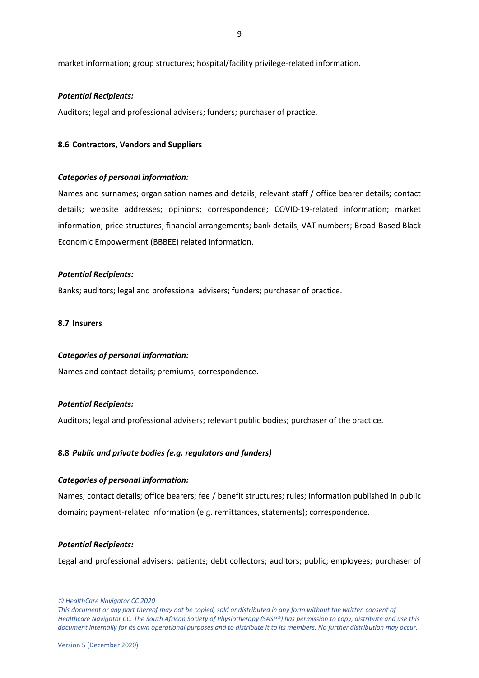market information; group structures; hospital/facility privilege-related information.

#### *Potential Recipients:*

Auditors; legal and professional advisers; funders; purchaser of practice.

## **8.6 Contractors, Vendors and Suppliers**

## *Categories of personal information:*

Names and surnames; organisation names and details; relevant staff / office bearer details; contact details; website addresses; opinions; correspondence; COVID-19-related information; market information; price structures; financial arrangements; bank details; VAT numbers; Broad-Based Black Economic Empowerment (BBBEE) related information.

## *Potential Recipients:*

Banks; auditors; legal and professional advisers; funders; purchaser of practice.

## **8.7 Insurers**

## *Categories of personal information:*

Names and contact details; premiums; correspondence.

## *Potential Recipients:*

Auditors; legal and professional advisers; relevant public bodies; purchaser of the practice.

## **8.8** *Public and private bodies (e.g. regulators and funders)*

#### *Categories of personal information:*

Names; contact details; office bearers; fee / benefit structures; rules; information published in public domain; payment-related information (e.g. remittances, statements); correspondence.

#### *Potential Recipients:*

Legal and professional advisers; patients; debt collectors; auditors; public; employees; purchaser of

*© HealthCare Navigator CC 2020*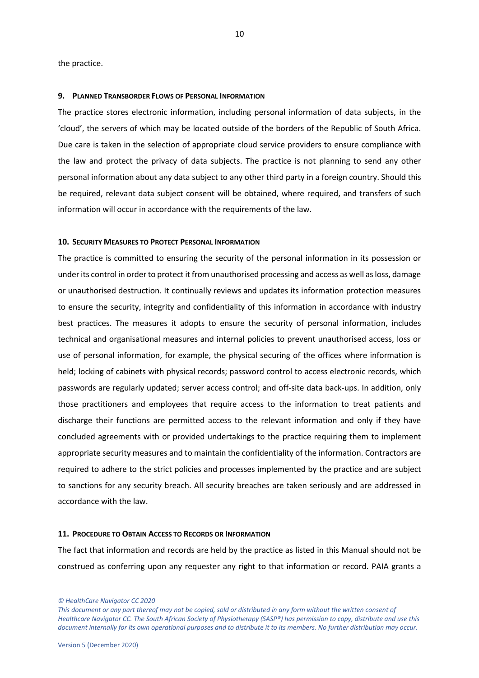the practice.

#### <span id="page-9-0"></span>**9. PLANNED TRANSBORDER FLOWS OF PERSONAL INFORMATION**

The practice stores electronic information, including personal information of data subjects, in the 'cloud', the servers of which may be located outside of the borders of the Republic of South Africa. Due care is taken in the selection of appropriate cloud service providers to ensure compliance with the law and protect the privacy of data subjects. The practice is not planning to send any other personal information about any data subject to any other third party in a foreign country. Should this be required, relevant data subject consent will be obtained, where required, and transfers of such information will occur in accordance with the requirements of the law.

## <span id="page-9-1"></span>**10. SECURITY MEASURES TO PROTECT PERSONAL INFORMATION**

The practice is committed to ensuring the security of the personal information in its possession or under its control in order to protect it from unauthorised processing and access as well as loss, damage or unauthorised destruction. It continually reviews and updates its information protection measures to ensure the security, integrity and confidentiality of this information in accordance with industry best practices. The measures it adopts to ensure the security of personal information, includes technical and organisational measures and internal policies to prevent unauthorised access, loss or use of personal information, for example, the physical securing of the offices where information is held; locking of cabinets with physical records; password control to access electronic records, which passwords are regularly updated; server access control; and off-site data back-ups. In addition, only those practitioners and employees that require access to the information to treat patients and discharge their functions are permitted access to the relevant information and only if they have concluded agreements with or provided undertakings to the practice requiring them to implement appropriate security measures and to maintain the confidentiality of the information. Contractors are required to adhere to the strict policies and processes implemented by the practice and are subject to sanctions for any security breach. All security breaches are taken seriously and are addressed in accordance with the law.

## <span id="page-9-2"></span>**11. PROCEDURE TO OBTAIN ACCESS TO RECORDS OR INFORMATION**

The fact that information and records are held by the practice as listed in this Manual should not be construed as conferring upon any requester any right to that information or record. PAIA grants a

*© HealthCare Navigator CC 2020* 

*This document or any part thereof may not be copied, sold or distributed in any form without the written consent of Healthcare Navigator CC. The South African Society of Physiotherapy (SASP®) has permission to copy, distribute and use this document internally for its own operational purposes and to distribute it to its members. No further distribution may occur.*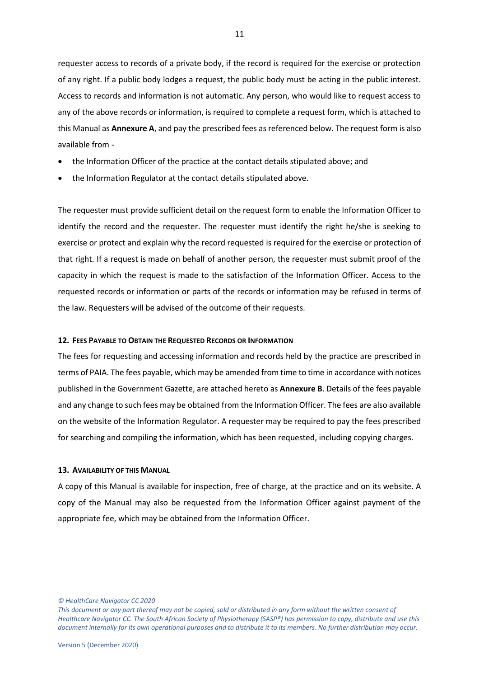requester access to records of a private body, if the record is required for the exercise or protection of any right. If a public body lodges a request, the public body must be acting in the public interest. Access to records and information is not automatic. Any person, who would like to request access to any of the above records or information, is required to complete a request form, which is attached to this Manual as **Annexure A**, and pay the prescribed fees as referenced below. The request form is also available from -

- the Information Officer of the practice at the contact details stipulated above; and
- the Information Regulator at the contact details stipulated above.

The requester must provide sufficient detail on the request form to enable the Information Officer to identify the record and the requester. The requester must identify the right he/she is seeking to exercise or protect and explain why the record requested is required for the exercise or protection of that right. If a request is made on behalf of another person, the requester must submit proof of the capacity in which the request is made to the satisfaction of the Information Officer. Access to the requested records or information or parts of the records or information may be refused in terms of the law. Requesters will be advised of the outcome of their requests.

## <span id="page-10-0"></span>**12. FEES PAYABLE TO OBTAIN THE REQUESTED RECORDS OR INFORMATION**

The fees for requesting and accessing information and records held by the practice are prescribed in terms of PAIA. The fees payable, which may be amended from time to time in accordance with notices published in the Government Gazette, are attached hereto as **Annexure B**. Details of the fees payable and any change to such fees may be obtained from the Information Officer. The fees are also available on the website of the Information Regulator. A requester may be required to pay the fees prescribed for searching and compiling the information, which has been requested, including copying charges.

#### <span id="page-10-1"></span>**13. AVAILABILITY OF THIS MANUAL**

A copy of this Manual is available for inspection, free of charge, at the practice and on its website. A copy of the Manual may also be requested from the Information Officer against payment of the appropriate fee, which may be obtained from the Information Officer.

*© HealthCare Navigator CC 2020* 

*This document or any part thereof may not be copied, sold or distributed in any form without the written consent of Healthcare Navigator CC. The South African Society of Physiotherapy (SASP®) has permission to copy, distribute and use this document internally for its own operational purposes and to distribute it to its members. No further distribution may occur.*

11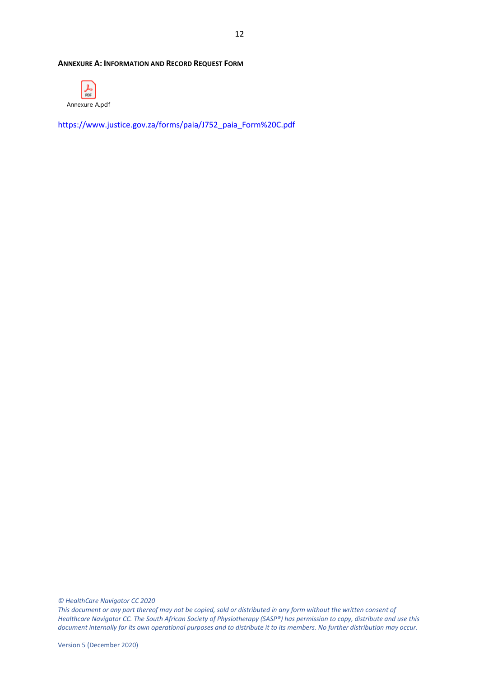#### <span id="page-11-0"></span>**ANNEXURE A: INFORMATION AND RECORD REQUEST FORM**

<span id="page-11-1"></span>

[https://www.justice.gov.za/forms/paia/J752\\_paia\\_Form%20C.pdf](https://www.justice.gov.za/forms/paia/J752_paia_Form%20C.pdf)

*© HealthCare Navigator CC 2020*